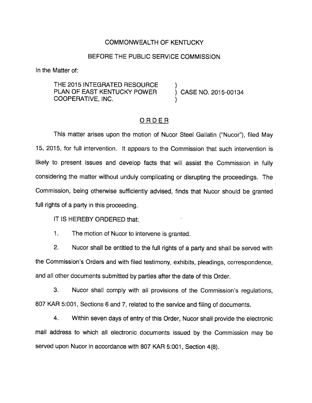## COMMONWEALTH OF KENTUCKY

## BEFORE THE PUBLIC SERVICE COMMISSION

In the Matter of:

THE 2015 INTEGRATED RESOURCE PLAN OF EAST KENTUCKY POWER ) CASE NO. 2015-00134 COOPERATIVE, INC. )

## ORDER

This matter arises upon the motion of Nucor Steel Gallatin ("Nucor"), filed May 15, 2015, for full intervention. It appears to the Commission that such intervention is likely to present issues and develop facts that will assist the Commission in fully considering the matter without unduly complicating or disrupting the proceedings. The Commission, being otherwise sufficiently advised, finds that Nucor should be granted full rights of a party in this proceeding.

IT IS HEREBY ORDERED that:

1. The motion of Nucor to intervene is granted.

2. Nucor shall be entitled to the full rights of a party and shall be served with the Commission's Orders and with filed testimony, exhibits, pleadings, correspondence, and all other documents submitted by parties after the date of this Order.

3. Nucor shall comply with all provisions of the Commission's regulations, 807 KAR 5:001, Sections 6 and 7, related to the service and filing of documents.

4. Within seven days of entry of this Order, Nucor shall provide the electronic mail address to which all electronic documents Issued by the Commission may be served upon Nucor in accordance with 807 KAR 5:001, Section 4(8).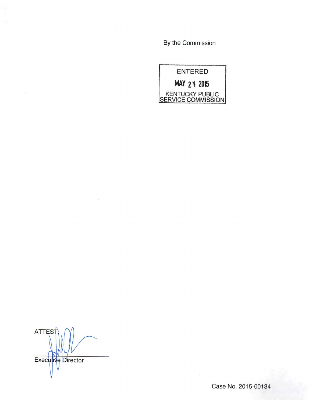By the Commission

ENTERED MAY 21 2015 KENTUCKY PUBLIC **SERVICE COMMISSION** 

**ATTES** Executive Director

Case No. 2015-00134